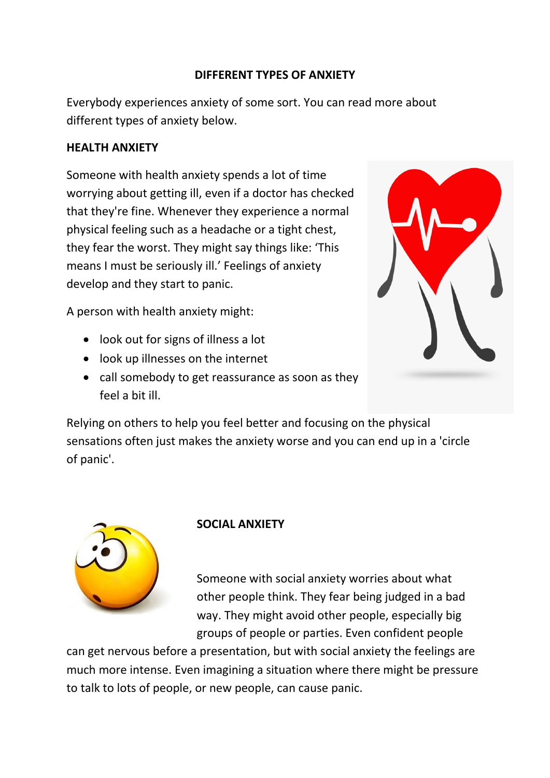### **DIFFERENT TYPES OF ANXIETY**

Everybody experiences anxiety of some sort. You can read more about different types of anxiety below.

#### **HEALTH ANXIETY**

Someone with health anxiety spends a lot of time worrying about getting ill, even if a doctor has checked that they're fine. Whenever they experience a normal physical feeling such as a headache or a tight chest, they fear the worst. They might say things like: 'This means I must be seriously ill.' Feelings of anxiety develop and they start to panic.

A person with health anxiety might:

- look out for signs of illness a lot
- look up illnesses on the internet
- call somebody to get reassurance as soon as they feel a bit ill.



Relying on others to help you feel better and focusing on the physical sensations often just makes the anxiety worse and you can end up in a 'circle of panic'.



# **SOCIAL ANXIETY**

Someone with social anxiety worries about what other people think. They fear being judged in a bad way. They might avoid other people, especially big groups of people or parties. Even confident people

can get nervous before a presentation, but with social anxiety the feelings are much more intense. Even imagining a situation where there might be pressure to talk to lots of people, or new people, can cause panic.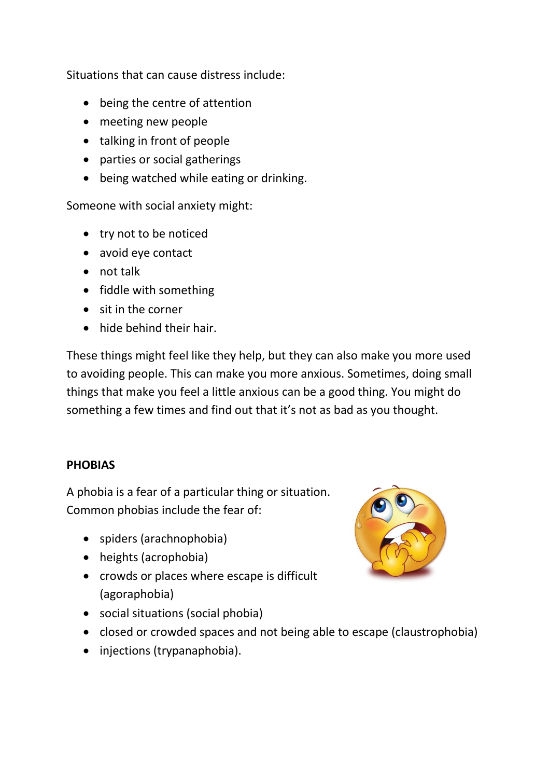Situations that can cause distress include:

- being the centre of attention
- meeting new people
- talking in front of people
- parties or social gatherings
- being watched while eating or drinking.

Someone with social anxiety might:

- try not to be noticed
- avoid eye contact
- not talk
- fiddle with something
- sit in the corner
- hide behind their hair.

These things might feel like they help, but they can also make you more used to avoiding people. This can make you more anxious. Sometimes, doing small things that make you feel a little anxious can be a good thing. You might do something a few times and find out that it's not as bad as you thought.

#### **PHOBIAS**

A phobia is a fear of a particular thing or situation. Common phobias include the fear of:

- spiders (arachnophobia)
- heights (acrophobia)
- crowds or places where escape is difficult (agoraphobia)
- social situations (social phobia)
- closed or crowded spaces and not being able to escape (claustrophobia)
- injections (trypanaphobia).

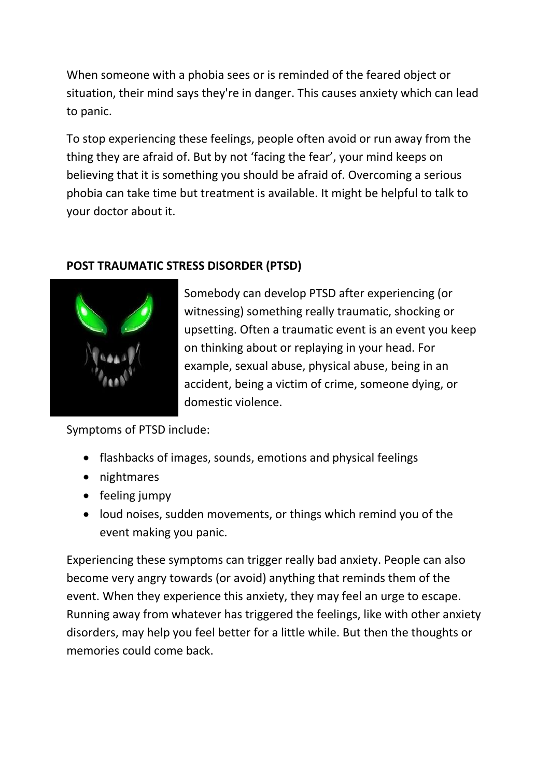When someone with a phobia sees or is reminded of the feared object or situation, their mind says they're in danger. This causes anxiety which can lead to panic.

To stop experiencing these feelings, people often avoid or run away from the thing they are afraid of. But by not 'facing the fear', your mind keeps on believing that it is something you should be afraid of. Overcoming a serious phobia can take time but treatment is available. It might be helpful to talk to your doctor about it.

# **POST TRAUMATIC STRESS DISORDER (PTSD)**



Somebody can develop PTSD after experiencing (or witnessing) something really traumatic, shocking or upsetting. Often a traumatic event is an event you keep on thinking about or replaying in your head. For example, sexual abuse, physical abuse, being in an accident, being a victim of crime, someone dying, or domestic violence.

Symptoms of PTSD include:

- flashbacks of images, sounds, emotions and physical feelings
- nightmares
- $\bullet$  feeling jumpy
- loud noises, sudden movements, or things which remind you of the event making you panic.

Experiencing these symptoms can trigger really bad anxiety. People can also become very angry towards (or avoid) anything that reminds them of the event. When they experience this anxiety, they may feel an urge to escape. Running away from whatever has triggered the feelings, like with other anxiety disorders, may help you feel better for a little while. But then the thoughts or memories could come back.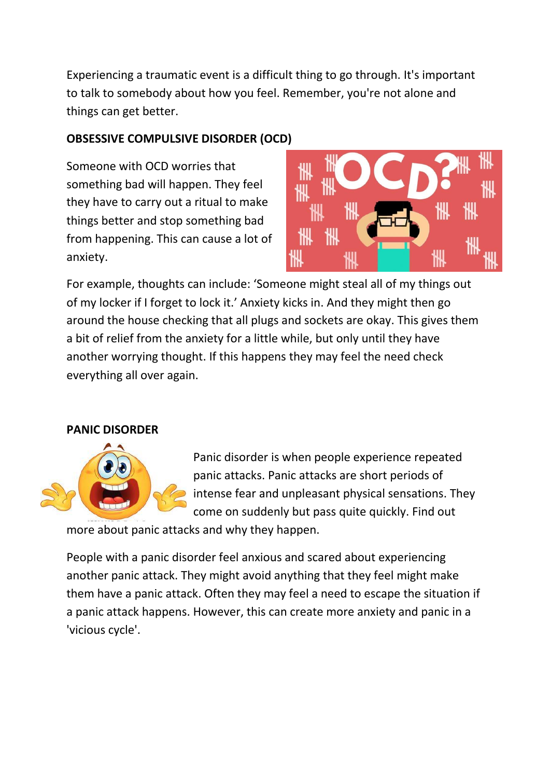Experiencing a traumatic event is a difficult thing to go through. It's important to talk to somebody about how you feel. Remember, you're not alone and things can get better.

### **OBSESSIVE COMPULSIVE DISORDER (OCD)**

Someone with OCD worries that something bad will happen. They feel they have to carry out a ritual to make things better and stop something bad from happening. This can cause a lot of anxiety.



For example, thoughts can include: 'Someone might steal all of my things out of my locker if I forget to lock it.' Anxiety kicks in. And they might then go around the house checking that all plugs and sockets are okay. This gives them a bit of relief from the anxiety for a little while, but only until they have another worrying thought. If this happens they may feel the need check everything all over again.

# **PANIC DISORDER**

![](_page_3_Picture_6.jpeg)

Panic disorder is when people experience repeated panic attacks. Panic attacks are short periods of intense fear and unpleasant physical sensations. They come on suddenly but pass quite quickly. Find out

more about panic attacks and why they happen.

People with a panic disorder feel anxious and scared about experiencing another panic attack. They might avoid anything that they feel might make them have a panic attack. Often they may feel a need to escape the situation if a panic attack happens. However, this can create more anxiety and panic in a 'vicious cycle'.